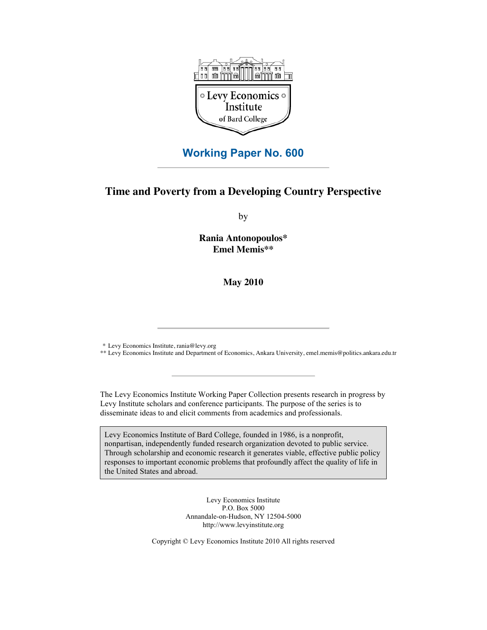

### **Working Paper No. 600**

### **Time and Poverty from a Developing Country Perspective**

by

**Rania Antonopoulos\* Emel Memis\*\***

**May 2010**

\* Levy Economics Institute, rania@levy.org

\*\* Levy Economics Institute and Department of Economics, Ankara University, emel.memis@politics.ankara.edu.tr

The Levy Economics Institute Working Paper Collection presents research in progress by Levy Institute scholars and conference participants. The purpose of the series is to disseminate ideas to and elicit comments from academics and professionals.

Levy Economics Institute of Bard College, founded in 1986, is a nonprofit, nonpartisan, independently funded research organization devoted to public service. Through scholarship and economic research it generates viable, effective public policy responses to important economic problems that profoundly affect the quality of life in the United States and abroad.

> Levy Economics Institute P.O. Box 5000 Annandale-on-Hudson, NY 12504-5000 http://www.levyinstitute.org

Copyright © Levy Economics Institute 2010 All rights reserved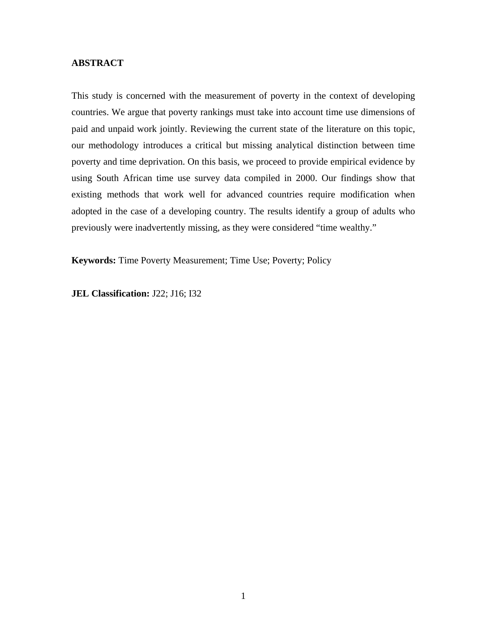#### **ABSTRACT**

This study is concerned with the measurement of poverty in the context of developing countries. We argue that poverty rankings must take into account time use dimensions of paid and unpaid work jointly. Reviewing the current state of the literature on this topic, our methodology introduces a critical but missing analytical distinction between time poverty and time deprivation. On this basis, we proceed to provide empirical evidence by using South African time use survey data compiled in 2000. Our findings show that existing methods that work well for advanced countries require modification when adopted in the case of a developing country. The results identify a group of adults who previously were inadvertently missing, as they were considered "time wealthy."

**Keywords:** Time Poverty Measurement; Time Use; Poverty; Policy

**JEL Classification:** J22; J16; I32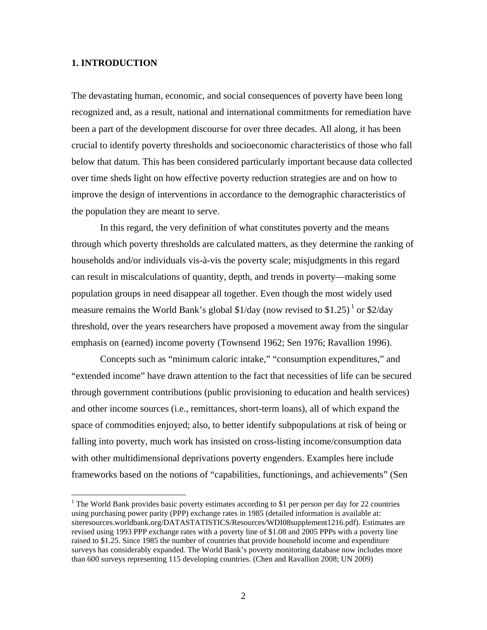#### **1. INTRODUCTION**

 $\overline{a}$ 

The devastating human, economic, and social consequences of poverty have been long recognized and, as a result, national and international commitments for remediation have been a part of the development discourse for over three decades. All along, it has been crucial to identify poverty thresholds and socioeconomic characteristics of those who fall below that datum. This has been considered particularly important because data collected over time sheds light on how effective poverty reduction strategies are and on how to improve the design of interventions in accordance to the demographic characteristics of the population they are meant to serve.

In this regard, the very definition of what constitutes poverty and the means through which poverty thresholds are calculated matters, as they determine the ranking of households and/or individuals vis-à-vis the poverty scale; misjudgments in this regard can result in miscalculations of quantity, depth, and trends in poverty—making some population groups in need disappear all together. Even though the most widely used measure remains the World Bank's global  $\frac{1}{d}$  (now revised to  $\frac{1}{2}$ )<sup>1</sup> or  $\frac{2}{d}$  ay threshold, over the years researchers have proposed a movement away from the singular emphasis on (earned) income poverty (Townsend 1962; Sen 1976; Ravallion 1996).

Concepts such as "minimum caloric intake," "consumption expenditures," and "extended income" have drawn attention to the fact that necessities of life can be secured through government contributions (public provisioning to education and health services) and other income sources (i.e., remittances, short-term loans), all of which expand the space of commodities enjoyed; also, to better identify subpopulations at risk of being or falling into poverty, much work has insisted on cross-listing income/consumption data with other multidimensional deprivations poverty engenders. Examples here include frameworks based on the notions of "capabilities, functionings, and achievements" (Sen

<sup>&</sup>lt;sup>1</sup> The World Bank provides basic poverty estimates according to \$1 per person per day for 22 countries using purchasing power parity (PPP) exchange rates in 1985 (detailed information is available at: siteresources.worldbank.org/DATASTATISTICS/Resources/WDI08supplement1216.pdf). Estimates are revised using 1993 PPP exchange rates with a poverty line of \$1.08 and 2005 PPPs with a poverty line raised to \$1.25. Since 1985 the number of countries that provide household income and expenditure surveys has considerably expanded. The World Bank's poverty monitoring database now includes more than 600 surveys representing 115 developing countries. (Chen and Ravallion 2008; UN 2009)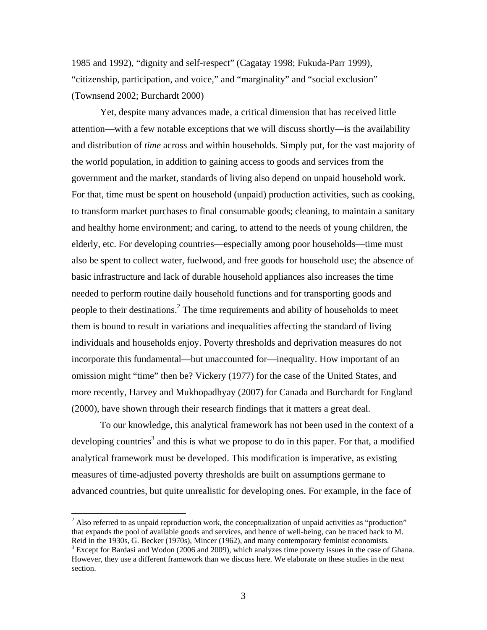1985 and 1992), "dignity and self-respect" (Cagatay 1998; Fukuda-Parr 1999), "citizenship, participation, and voice," and "marginality" and "social exclusion" (Townsend 2002; Burchardt 2000)

 Yet, despite many advances made, a critical dimension that has received little attention—with a few notable exceptions that we will discuss shortly—is the availability and distribution of *time* across and within households*.* Simply put, for the vast majority of the world population, in addition to gaining access to goods and services from the government and the market, standards of living also depend on unpaid household work. For that, time must be spent on household (unpaid) production activities, such as cooking, to transform market purchases to final consumable goods; cleaning, to maintain a sanitary and healthy home environment; and caring, to attend to the needs of young children, the elderly, etc. For developing countries—especially among poor households—time must also be spent to collect water, fuelwood, and free goods for household use; the absence of basic infrastructure and lack of durable household appliances also increases the time needed to perform routine daily household functions and for transporting goods and people to their destinations. $2$  The time requirements and ability of households to meet them is bound to result in variations and inequalities affecting the standard of living individuals and households enjoy. Poverty thresholds and deprivation measures do not incorporate this fundamental—but unaccounted for—inequality. How important of an omission might "time" then be? Vickery (1977) for the case of the United States, and more recently, Harvey and Mukhopadhyay (2007) for Canada and Burchardt for England (2000), have shown through their research findings that it matters a great deal.

 To our knowledge, this analytical framework has not been used in the context of a developing countries<sup>3</sup> and this is what we propose to do in this paper. For that, a modified analytical framework must be developed. This modification is imperative, as existing measures of time-adjusted poverty thresholds are built on assumptions germane to advanced countries, but quite unrealistic for developing ones. For example, in the face of

<sup>&</sup>lt;sup>2</sup> Also referred to as unpaid reproduction work, the conceptualization of unpaid activities as "production" that expands the pool of available goods and services, and hence of well-being, can be traced back to M. Reid in the 1930s, G. Becker (1970s), Mincer (1962), and many contemporary feminist economists. 3

 $3$  Except for Bardasi and Wodon (2006 and 2009), which analyzes time poverty issues in the case of Ghana. However, they use a different framework than we discuss here. We elaborate on these studies in the next section.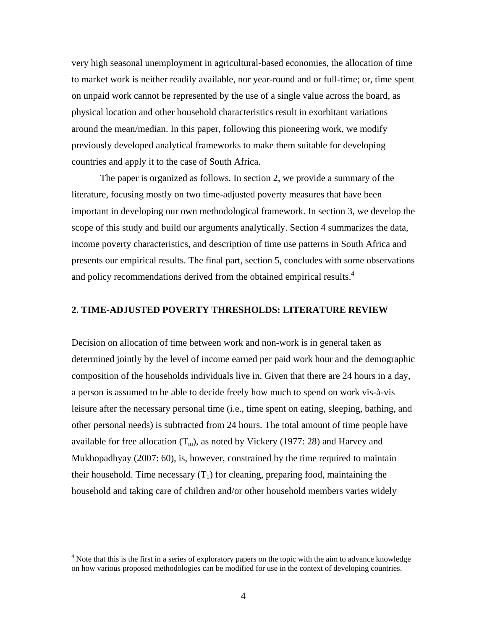very high seasonal unemployment in agricultural-based economies, the allocation of time to market work is neither readily available, nor year-round and or full-time; or, time spent on unpaid work cannot be represented by the use of a single value across the board, as physical location and other household characteristics result in exorbitant variations around the mean/median. In this paper, following this pioneering work, we modify previously developed analytical frameworks to make them suitable for developing countries and apply it to the case of South Africa.

 The paper is organized as follows. In section 2, we provide a summary of the literature, focusing mostly on two time-adjusted poverty measures that have been important in developing our own methodological framework. In section 3, we develop the scope of this study and build our arguments analytically. Section 4 summarizes the data, income poverty characteristics, and description of time use patterns in South Africa and presents our empirical results. The final part, section 5, concludes with some observations and policy recommendations derived from the obtained empirical results.<sup>4</sup>

#### **2. TIME-ADJUSTED POVERTY THRESHOLDS: LITERATURE REVIEW**

Decision on allocation of time between work and non-work is in general taken as determined jointly by the level of income earned per paid work hour and the demographic composition of the households individuals live in. Given that there are 24 hours in a day, a person is assumed to be able to decide freely how much to spend on work vis-à-vis leisure after the necessary personal time (i.e., time spent on eating, sleeping, bathing, and other personal needs) is subtracted from 24 hours. The total amount of time people have available for free allocation  $(T_m)$ , as noted by Vickery (1977: 28) and Harvey and Mukhopadhyay (2007: 60), is, however, constrained by the time required to maintain their household. Time necessary  $(T_1)$  for cleaning, preparing food, maintaining the household and taking care of children and/or other household members varies widely

 $\overline{a}$ 

<sup>&</sup>lt;sup>4</sup> Note that this is the first in a series of exploratory papers on the topic with the aim to advance knowledge on how various proposed methodologies can be modified for use in the context of developing countries.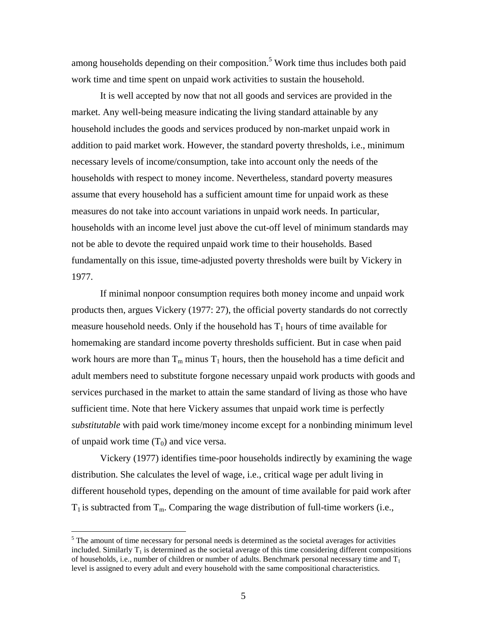among households depending on their composition.<sup>5</sup> Work time thus includes both paid work time and time spent on unpaid work activities to sustain the household.

It is well accepted by now that not all goods and services are provided in the market. Any well-being measure indicating the living standard attainable by any household includes the goods and services produced by non-market unpaid work in addition to paid market work. However, the standard poverty thresholds, i.e., minimum necessary levels of income/consumption, take into account only the needs of the households with respect to money income. Nevertheless, standard poverty measures assume that every household has a sufficient amount time for unpaid work as these measures do not take into account variations in unpaid work needs. In particular, households with an income level just above the cut-off level of minimum standards may not be able to devote the required unpaid work time to their households. Based fundamentally on this issue, time-adjusted poverty thresholds were built by Vickery in 1977.

If minimal nonpoor consumption requires both money income and unpaid work products then, argues Vickery (1977: 27), the official poverty standards do not correctly measure household needs. Only if the household has  $T_1$  hours of time available for homemaking are standard income poverty thresholds sufficient. But in case when paid work hours are more than  $T_m$  minus  $T_1$  hours, then the household has a time deficit and adult members need to substitute forgone necessary unpaid work products with goods and services purchased in the market to attain the same standard of living as those who have sufficient time. Note that here Vickery assumes that unpaid work time is perfectly *substitutable* with paid work time/money income except for a nonbinding minimum level of unpaid work time  $(T_0)$  and vice versa.

Vickery (1977) identifies time-poor households indirectly by examining the wage distribution. She calculates the level of wage, i.e., critical wage per adult living in different household types, depending on the amount of time available for paid work after  $T_1$  is subtracted from  $T_m$ . Comparing the wage distribution of full-time workers (i.e.,

<u>.</u>

 $<sup>5</sup>$  The amount of time necessary for personal needs is determined as the societal averages for activities</sup> included. Similarly  $T_1$  is determined as the societal average of this time considering different compositions of households, i.e., number of children or number of adults. Benchmark personal necessary time and  $T_1$ level is assigned to every adult and every household with the same compositional characteristics.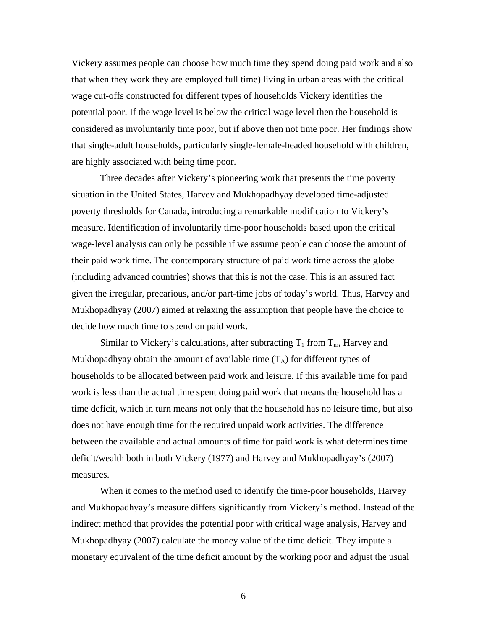Vickery assumes people can choose how much time they spend doing paid work and also that when they work they are employed full time) living in urban areas with the critical wage cut-offs constructed for different types of households Vickery identifies the potential poor. If the wage level is below the critical wage level then the household is considered as involuntarily time poor, but if above then not time poor. Her findings show that single-adult households, particularly single-female-headed household with children, are highly associated with being time poor.

Three decades after Vickery's pioneering work that presents the time poverty situation in the United States, Harvey and Mukhopadhyay developed time-adjusted poverty thresholds for Canada, introducing a remarkable modification to Vickery's measure. Identification of involuntarily time-poor households based upon the critical wage-level analysis can only be possible if we assume people can choose the amount of their paid work time. The contemporary structure of paid work time across the globe (including advanced countries) shows that this is not the case. This is an assured fact given the irregular, precarious, and/or part-time jobs of today's world. Thus, Harvey and Mukhopadhyay (2007) aimed at relaxing the assumption that people have the choice to decide how much time to spend on paid work.

Similar to Vickery's calculations, after subtracting  $T_1$  from  $T_m$ , Harvey and Mukhopadhyay obtain the amount of available time  $(T_A)$  for different types of households to be allocated between paid work and leisure. If this available time for paid work is less than the actual time spent doing paid work that means the household has a time deficit, which in turn means not only that the household has no leisure time, but also does not have enough time for the required unpaid work activities. The difference between the available and actual amounts of time for paid work is what determines time deficit/wealth both in both Vickery (1977) and Harvey and Mukhopadhyay's (2007) measures.

When it comes to the method used to identify the time-poor households, Harvey and Mukhopadhyay's measure differs significantly from Vickery's method. Instead of the indirect method that provides the potential poor with critical wage analysis, Harvey and Mukhopadhyay (2007) calculate the money value of the time deficit. They impute a monetary equivalent of the time deficit amount by the working poor and adjust the usual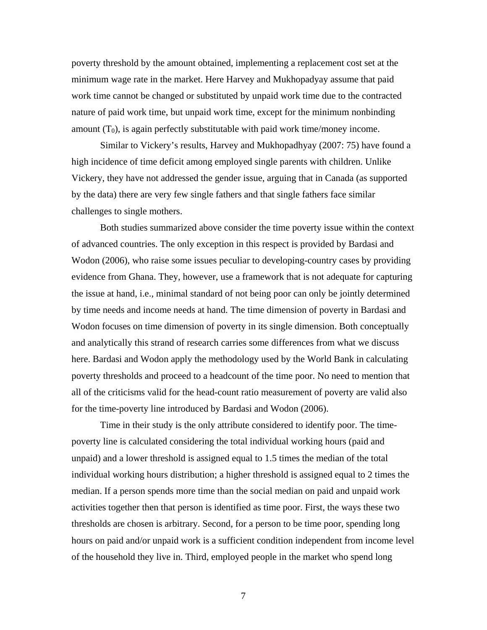poverty threshold by the amount obtained, implementing a replacement cost set at the minimum wage rate in the market. Here Harvey and Mukhopadyay assume that paid work time cannot be changed or substituted by unpaid work time due to the contracted nature of paid work time, but unpaid work time, except for the minimum nonbinding amount  $(T_0)$ , is again perfectly substitutable with paid work time/money income.

Similar to Vickery's results, Harvey and Mukhopadhyay (2007: 75) have found a high incidence of time deficit among employed single parents with children. Unlike Vickery, they have not addressed the gender issue, arguing that in Canada (as supported by the data) there are very few single fathers and that single fathers face similar challenges to single mothers.

Both studies summarized above consider the time poverty issue within the context of advanced countries. The only exception in this respect is provided by Bardasi and Wodon (2006), who raise some issues peculiar to developing-country cases by providing evidence from Ghana. They, however, use a framework that is not adequate for capturing the issue at hand, i.e., minimal standard of not being poor can only be jointly determined by time needs and income needs at hand. The time dimension of poverty in Bardasi and Wodon focuses on time dimension of poverty in its single dimension. Both conceptually and analytically this strand of research carries some differences from what we discuss here. Bardasi and Wodon apply the methodology used by the World Bank in calculating poverty thresholds and proceed to a headcount of the time poor. No need to mention that all of the criticisms valid for the head-count ratio measurement of poverty are valid also for the time-poverty line introduced by Bardasi and Wodon (2006).

Time in their study is the only attribute considered to identify poor. The timepoverty line is calculated considering the total individual working hours (paid and unpaid) and a lower threshold is assigned equal to 1.5 times the median of the total individual working hours distribution; a higher threshold is assigned equal to 2 times the median. If a person spends more time than the social median on paid and unpaid work activities together then that person is identified as time poor. First, the ways these two thresholds are chosen is arbitrary. Second, for a person to be time poor, spending long hours on paid and/or unpaid work is a sufficient condition independent from income level of the household they live in. Third, employed people in the market who spend long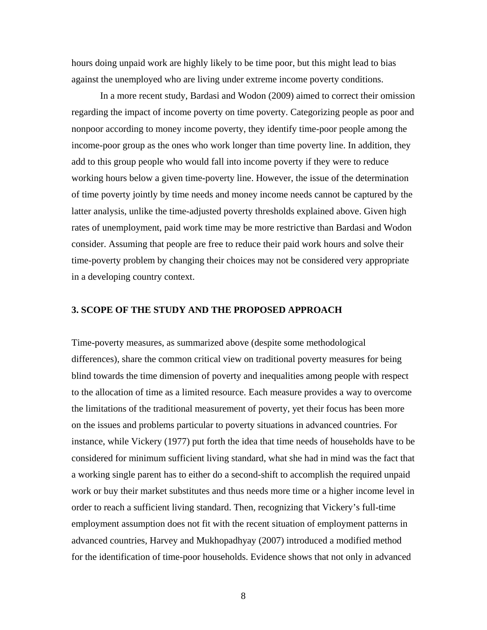hours doing unpaid work are highly likely to be time poor, but this might lead to bias against the unemployed who are living under extreme income poverty conditions.

In a more recent study, Bardasi and Wodon (2009) aimed to correct their omission regarding the impact of income poverty on time poverty. Categorizing people as poor and nonpoor according to money income poverty, they identify time-poor people among the income-poor group as the ones who work longer than time poverty line. In addition, they add to this group people who would fall into income poverty if they were to reduce working hours below a given time-poverty line. However, the issue of the determination of time poverty jointly by time needs and money income needs cannot be captured by the latter analysis, unlike the time-adjusted poverty thresholds explained above. Given high rates of unemployment, paid work time may be more restrictive than Bardasi and Wodon consider. Assuming that people are free to reduce their paid work hours and solve their time-poverty problem by changing their choices may not be considered very appropriate in a developing country context.

#### **3. SCOPE OF THE STUDY AND THE PROPOSED APPROACH**

Time-poverty measures, as summarized above (despite some methodological differences), share the common critical view on traditional poverty measures for being blind towards the time dimension of poverty and inequalities among people with respect to the allocation of time as a limited resource. Each measure provides a way to overcome the limitations of the traditional measurement of poverty, yet their focus has been more on the issues and problems particular to poverty situations in advanced countries. For instance, while Vickery (1977) put forth the idea that time needs of households have to be considered for minimum sufficient living standard, what she had in mind was the fact that a working single parent has to either do a second-shift to accomplish the required unpaid work or buy their market substitutes and thus needs more time or a higher income level in order to reach a sufficient living standard. Then, recognizing that Vickery's full-time employment assumption does not fit with the recent situation of employment patterns in advanced countries, Harvey and Mukhopadhyay (2007) introduced a modified method for the identification of time-poor households. Evidence shows that not only in advanced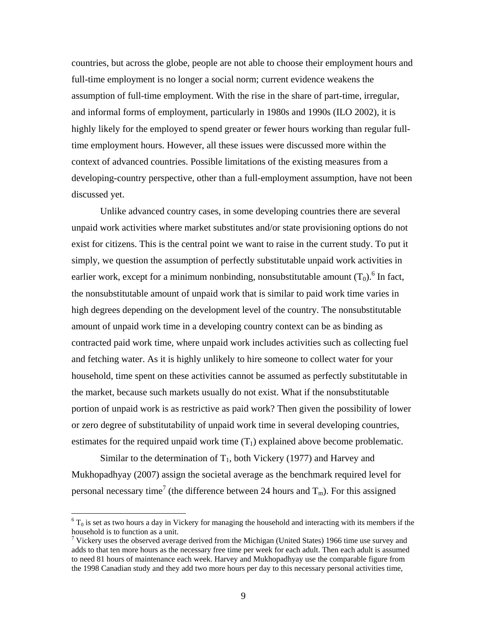countries, but across the globe, people are not able to choose their employment hours and full-time employment is no longer a social norm; current evidence weakens the assumption of full-time employment. With the rise in the share of part-time, irregular, and informal forms of employment, particularly in 1980s and 1990s (ILO 2002), it is highly likely for the employed to spend greater or fewer hours working than regular fulltime employment hours. However, all these issues were discussed more within the context of advanced countries. Possible limitations of the existing measures from a developing-country perspective, other than a full-employment assumption, have not been discussed yet.

Unlike advanced country cases, in some developing countries there are several unpaid work activities where market substitutes and/or state provisioning options do not exist for citizens. This is the central point we want to raise in the current study. To put it simply, we question the assumption of perfectly substitutable unpaid work activities in earlier work, except for a minimum nonbinding, nonsubstitutable amount  $(T_0)$ .<sup>6</sup> In fact, the nonsubstitutable amount of unpaid work that is similar to paid work time varies in high degrees depending on the development level of the country. The nonsubstitutable amount of unpaid work time in a developing country context can be as binding as contracted paid work time, where unpaid work includes activities such as collecting fuel and fetching water. As it is highly unlikely to hire someone to collect water for your household, time spent on these activities cannot be assumed as perfectly substitutable in the market, because such markets usually do not exist. What if the nonsubstitutable portion of unpaid work is as restrictive as paid work? Then given the possibility of lower or zero degree of substitutability of unpaid work time in several developing countries, estimates for the required unpaid work time  $(T_1)$  explained above become problematic.

Similar to the determination of  $T_1$ , both Vickery (1977) and Harvey and Mukhopadhyay (2007) assign the societal average as the benchmark required level for personal necessary time<sup>7</sup> (the difference between 24 hours and  $T_m$ ). For this assigned

 $\overline{a}$ 

 $6T_0$  is set as two hours a day in Vickery for managing the household and interacting with its members if the household is to function as a unit.

<sup>&</sup>lt;sup>7</sup> Vickery uses the observed average derived from the Michigan (United States) 1966 time use survey and adds to that ten more hours as the necessary free time per week for each adult. Then each adult is assumed to need 81 hours of maintenance each week. Harvey and Mukhopadhyay use the comparable figure from the 1998 Canadian study and they add two more hours per day to this necessary personal activities time,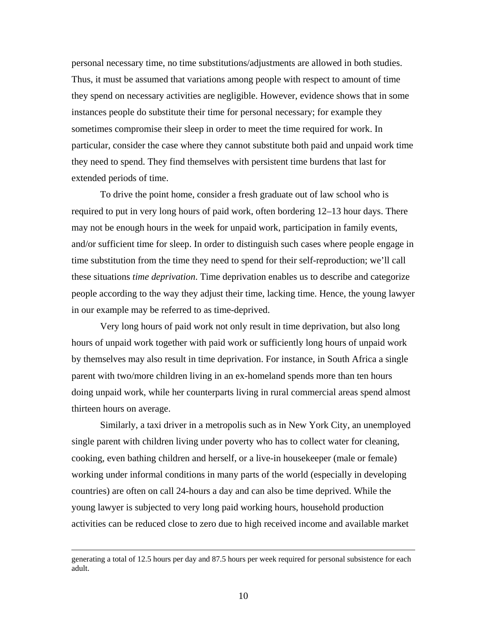personal necessary time, no time substitutions/adjustments are allowed in both studies. Thus, it must be assumed that variations among people with respect to amount of time they spend on necessary activities are negligible. However, evidence shows that in some instances people do substitute their time for personal necessary; for example they sometimes compromise their sleep in order to meet the time required for work. In particular, consider the case where they cannot substitute both paid and unpaid work time they need to spend. They find themselves with persistent time burdens that last for extended periods of time.

To drive the point home, consider a fresh graduate out of law school who is required to put in very long hours of paid work, often bordering 12–13 hour days. There may not be enough hours in the week for unpaid work, participation in family events, and/or sufficient time for sleep. In order to distinguish such cases where people engage in time substitution from the time they need to spend for their self-reproduction; we'll call these situations *time deprivation*. Time deprivation enables us to describe and categorize people according to the way they adjust their time, lacking time. Hence, the young lawyer in our example may be referred to as time-deprived.

Very long hours of paid work not only result in time deprivation, but also long hours of unpaid work together with paid work or sufficiently long hours of unpaid work by themselves may also result in time deprivation. For instance, in South Africa a single parent with two/more children living in an ex-homeland spends more than ten hours doing unpaid work, while her counterparts living in rural commercial areas spend almost thirteen hours on average.

Similarly, a taxi driver in a metropolis such as in New York City, an unemployed single parent with children living under poverty who has to collect water for cleaning, cooking, even bathing children and herself, or a live-in housekeeper (male or female) working under informal conditions in many parts of the world (especially in developing countries) are often on call 24-hours a day and can also be time deprived. While the young lawyer is subjected to very long paid working hours, household production activities can be reduced close to zero due to high received income and available market

generating a total of 12.5 hours per day and 87.5 hours per week required for personal subsistence for each adult.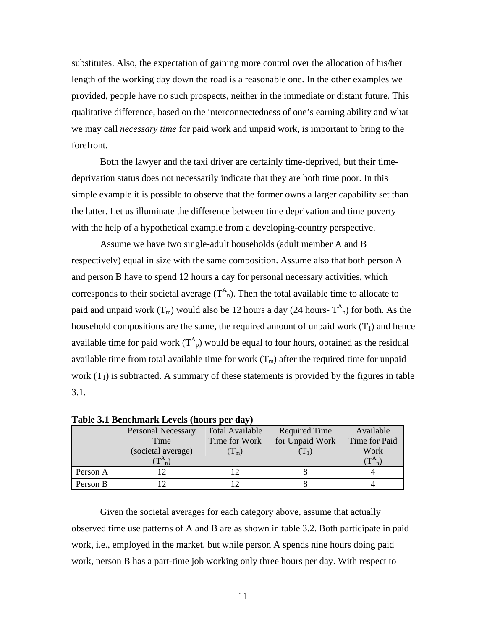substitutes. Also, the expectation of gaining more control over the allocation of his/her length of the working day down the road is a reasonable one. In the other examples we provided, people have no such prospects, neither in the immediate or distant future. This qualitative difference, based on the interconnectedness of one's earning ability and what we may call *necessary time* for paid work and unpaid work, is important to bring to the forefront.

Both the lawyer and the taxi driver are certainly time-deprived, but their timedeprivation status does not necessarily indicate that they are both time poor. In this simple example it is possible to observe that the former owns a larger capability set than the latter. Let us illuminate the difference between time deprivation and time poverty with the help of a hypothetical example from a developing-country perspective.

Assume we have two single-adult households (adult member A and B respectively) equal in size with the same composition. Assume also that both person A and person B have to spend 12 hours a day for personal necessary activities, which corresponds to their societal average  $(T_{n}^{A})$ . Then the total available time to allocate to paid and unpaid work  $(T_m)$  would also be 12 hours a day (24 hours-  $T_{n}^{A}$ ) for both. As the household compositions are the same, the required amount of unpaid work  $(T_1)$  and hence available time for paid work  $(T_{p}^{A})$  would be equal to four hours, obtained as the residual available time from total available time for work  $(T_m)$  after the required time for unpaid work  $(T_1)$  is subtracted. A summary of these statements is provided by the figures in table 3.1.

|          | <b>Personal Necessary</b> | <b>Total Available</b> | <b>Required Time</b> | Available        |
|----------|---------------------------|------------------------|----------------------|------------------|
|          | Time                      | Time for Work          | for Unpaid Work      | Time for Paid    |
|          | (societal average)        | $(T_m)$                | $(T_1)$              | Work             |
|          | $T^A$                     |                        |                      | $\tau_{\rm T}$ A |
| Person A |                           |                        |                      |                  |
| Person B |                           |                        |                      |                  |

**Table 3.1 Benchmark Levels (hours per day)** 

Given the societal averages for each category above, assume that actually observed time use patterns of A and B are as shown in table 3.2. Both participate in paid work, i.e., employed in the market, but while person A spends nine hours doing paid work, person B has a part-time job working only three hours per day. With respect to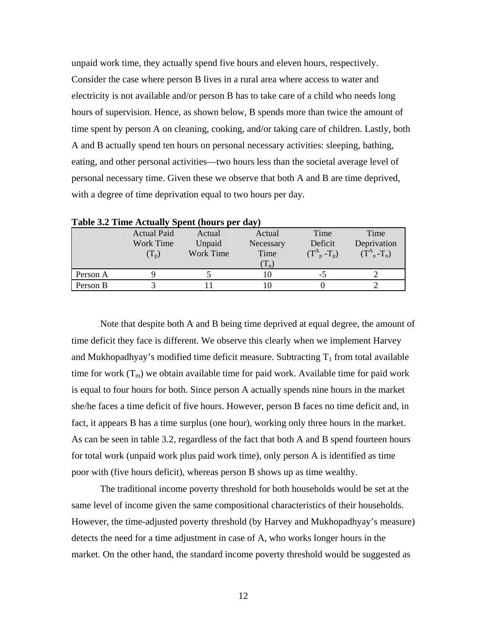unpaid work time, they actually spend five hours and eleven hours, respectively. Consider the case where person B lives in a rural area where access to water and electricity is not available and/or person B has to take care of a child who needs long hours of supervision. Hence, as shown below, B spends more than twice the amount of time spent by person A on cleaning, cooking, and/or taking care of children. Lastly, both A and B actually spend ten hours on personal necessary activities: sleeping, bathing, eating, and other personal activities—two hours less than the societal average level of personal necessary time. Given these we observe that both A and B are time deprived, with a degree of time deprivation equal to two hours per day.

|          | <b>Actual Paid</b>             | Actual    | Actual                | Time                  | Time         |
|----------|--------------------------------|-----------|-----------------------|-----------------------|--------------|
|          | Work Time                      | Unpaid    | Necessary             | Deficit               | Deprivation  |
|          | $\left( \mathrm{T_{p}}\right)$ | Work Time | Time                  | $(T_{p}^{A} - T_{p})$ | $(TAn - Tn)$ |
|          |                                |           | $(\text{T}_\text{n})$ |                       |              |
| Person A |                                |           |                       | -ר                    |              |
| Person B |                                |           |                       |                       |              |

**Table 3.2 Time Actually Spent (hours per day)** 

Note that despite both A and B being time deprived at equal degree, the amount of time deficit they face is different. We observe this clearly when we implement Harvey and Mukhopadhyay's modified time deficit measure. Subtracting  $T_1$  from total available time for work  $(T_m)$  we obtain available time for paid work. Available time for paid work is equal to four hours for both. Since person A actually spends nine hours in the market she/he faces a time deficit of five hours. However, person B faces no time deficit and, in fact, it appears B has a time surplus (one hour), working only three hours in the market. As can be seen in table 3.2, regardless of the fact that both A and B spend fourteen hours for total work (unpaid work plus paid work time), only person A is identified as time poor with (five hours deficit), whereas person B shows up as time wealthy.

The traditional income poverty threshold for both households would be set at the same level of income given the same compositional characteristics of their households. However, the time-adjusted poverty threshold (by Harvey and Mukhopadhyay's measure) detects the need for a time adjustment in case of A, who works longer hours in the market. On the other hand, the standard income poverty threshold would be suggested as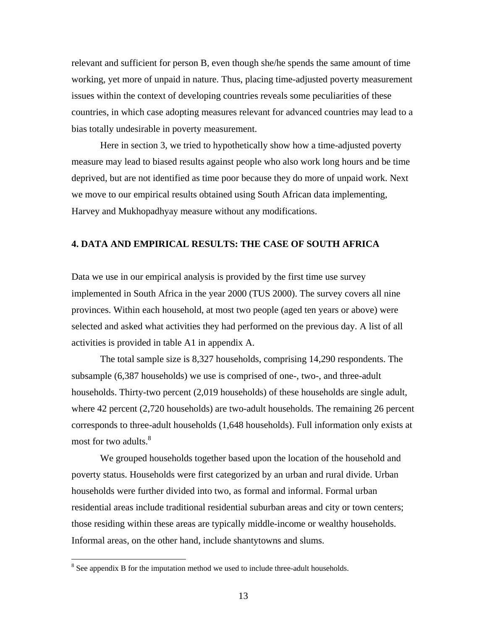relevant and sufficient for person B, even though she/he spends the same amount of time working, yet more of unpaid in nature. Thus, placing time-adjusted poverty measurement issues within the context of developing countries reveals some peculiarities of these countries, in which case adopting measures relevant for advanced countries may lead to a bias totally undesirable in poverty measurement.

Here in section 3, we tried to hypothetically show how a time-adjusted poverty measure may lead to biased results against people who also work long hours and be time deprived, but are not identified as time poor because they do more of unpaid work. Next we move to our empirical results obtained using South African data implementing, Harvey and Mukhopadhyay measure without any modifications.

#### **4. DATA AND EMPIRICAL RESULTS: THE CASE OF SOUTH AFRICA**

Data we use in our empirical analysis is provided by the first time use survey implemented in South Africa in the year 2000 (TUS 2000). The survey covers all nine provinces. Within each household, at most two people (aged ten years or above) were selected and asked what activities they had performed on the previous day. A list of all activities is provided in table A1 in appendix A.

The total sample size is 8,327 households, comprising 14,290 respondents. The subsample (6,387 households) we use is comprised of one-, two-, and three-adult households. Thirty-two percent (2,019 households) of these households are single adult, where 42 percent (2,720 households) are two-adult households. The remaining 26 percent corresponds to three-adult households (1,648 households). Full information only exists at most for two adults.<sup>8</sup>

We grouped households together based upon the location of the household and poverty status. Households were first categorized by an urban and rural divide. Urban households were further divided into two, as formal and informal. Formal urban residential areas include traditional residential suburban areas and city or town centers; those residing within these areas are typically middle-income or wealthy households. Informal areas, on the other hand, include shantytowns and slums.

<sup>&</sup>lt;sup>8</sup> See appendix B for the imputation method we used to include three-adult households.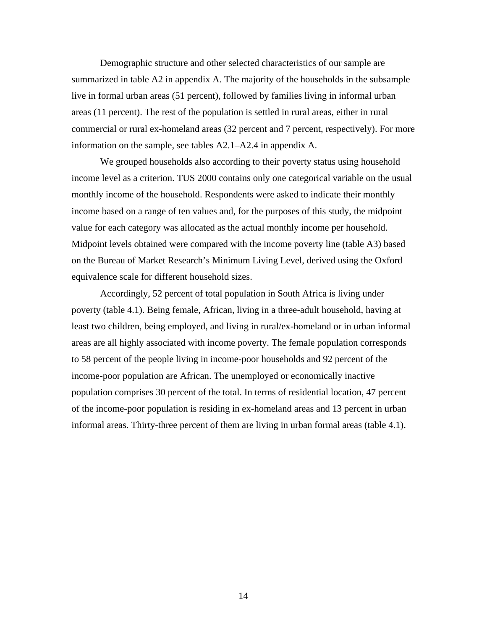Demographic structure and other selected characteristics of our sample are summarized in table A2 in appendix A. The majority of the households in the subsample live in formal urban areas (51 percent), followed by families living in informal urban areas (11 percent). The rest of the population is settled in rural areas, either in rural commercial or rural ex-homeland areas (32 percent and 7 percent, respectively). For more information on the sample, see tables A2.1–A2.4 in appendix A.

We grouped households also according to their poverty status using household income level as a criterion. TUS 2000 contains only one categorical variable on the usual monthly income of the household. Respondents were asked to indicate their monthly income based on a range of ten values and, for the purposes of this study, the midpoint value for each category was allocated as the actual monthly income per household. Midpoint levels obtained were compared with the income poverty line (table A3) based on the Bureau of Market Research's Minimum Living Level, derived using the Oxford equivalence scale for different household sizes.

Accordingly, 52 percent of total population in South Africa is living under poverty (table 4.1). Being female, African, living in a three-adult household, having at least two children, being employed, and living in rural/ex-homeland or in urban informal areas are all highly associated with income poverty. The female population corresponds to 58 percent of the people living in income-poor households and 92 percent of the income-poor population are African. The unemployed or economically inactive population comprises 30 percent of the total. In terms of residential location, 47 percent of the income-poor population is residing in ex-homeland areas and 13 percent in urban informal areas. Thirty-three percent of them are living in urban formal areas (table 4.1).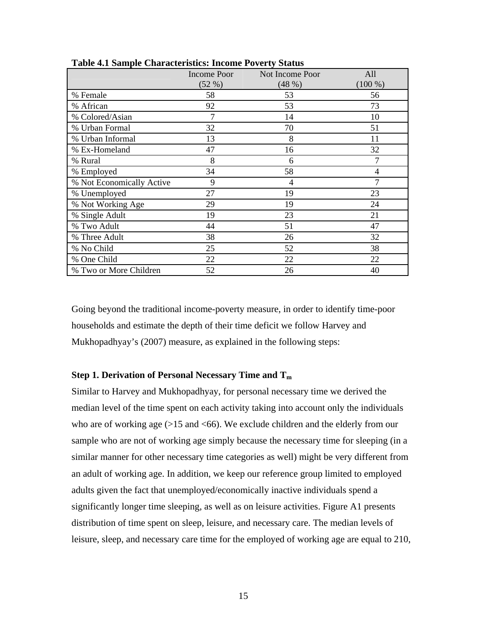|                           | Income Poor | Not Income Poor | All            |
|---------------------------|-------------|-----------------|----------------|
|                           | (52%)       | (48%)           | $(100\%)$      |
| % Female                  | 58          | 53              | 56             |
| % African                 | 92          | 53              | 73             |
| % Colored/Asian           | 7           | 14              | 10             |
| % Urban Formal            | 32          | 70              | 51             |
| % Urban Informal          | 13          | 8               | 11             |
| % Ex-Homeland             | 47          | 16              | 32             |
| % Rural                   | 8           | 6               | 7              |
| % Employed                | 34          | 58              | $\overline{4}$ |
| % Not Economically Active | 9           | 4               | 7              |
| % Unemployed              | 27          | 19              | 23             |
| % Not Working Age         | 29          | 19              | 24             |
| % Single Adult            | 19          | 23              | 21             |
| % Two Adult               | 44          | 51              | 47             |
| % Three Adult             | 38          | 26              | 32             |
| % No Child                | 25          | 52              | 38             |
| % One Child               | 22          | 22              | 22             |
| % Two or More Children    | 52          | 26              | 40             |

**Table 4.1 Sample Characteristics: Income Poverty Status**

Going beyond the traditional income-poverty measure, in order to identify time-poor households and estimate the depth of their time deficit we follow Harvey and Mukhopadhyay's (2007) measure, as explained in the following steps:

#### **Step 1. Derivation of Personal Necessary Time and Tm**

Similar to Harvey and Mukhopadhyay, for personal necessary time we derived the median level of the time spent on each activity taking into account only the individuals who are of working age  $(>15$  and  $< 66$ ). We exclude children and the elderly from our sample who are not of working age simply because the necessary time for sleeping (in a similar manner for other necessary time categories as well) might be very different from an adult of working age. In addition, we keep our reference group limited to employed adults given the fact that unemployed/economically inactive individuals spend a significantly longer time sleeping, as well as on leisure activities. Figure A1 presents distribution of time spent on sleep, leisure, and necessary care. The median levels of leisure, sleep, and necessary care time for the employed of working age are equal to 210,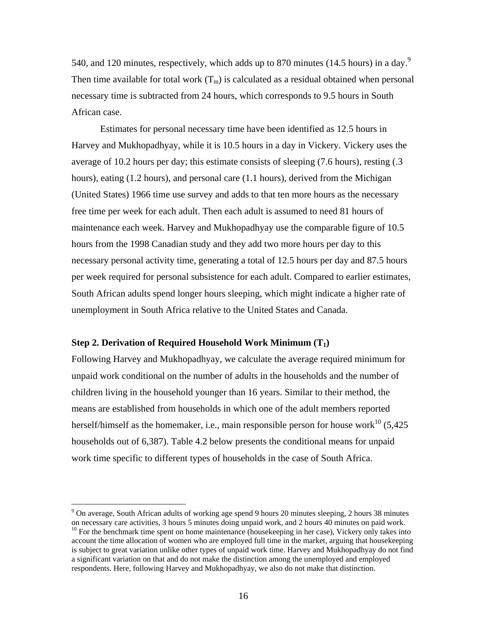540, and 120 minutes, respectively, which adds up to 870 minutes (14.5 hours) in a day.<sup>9</sup> Then time available for total work  $(T_m)$  is calculated as a residual obtained when personal necessary time is subtracted from 24 hours, which corresponds to 9.5 hours in South African case.

Estimates for personal necessary time have been identified as 12.5 hours in Harvey and Mukhopadhyay, while it is 10.5 hours in a day in Vickery. Vickery uses the average of 10.2 hours per day; this estimate consists of sleeping (7.6 hours), resting (.3 hours), eating (1.2 hours), and personal care (1.1 hours), derived from the Michigan (United States) 1966 time use survey and adds to that ten more hours as the necessary free time per week for each adult. Then each adult is assumed to need 81 hours of maintenance each week. Harvey and Mukhopadhyay use the comparable figure of 10.5 hours from the 1998 Canadian study and they add two more hours per day to this necessary personal activity time, generating a total of 12.5 hours per day and 87.5 hours per week required for personal subsistence for each adult. Compared to earlier estimates, South African adults spend longer hours sleeping, which might indicate a higher rate of unemployment in South Africa relative to the United States and Canada.

#### **Step 2. Derivation of Required Household Work Minimum (T1)**

<u>.</u>

Following Harvey and Mukhopadhyay, we calculate the average required minimum for unpaid work conditional on the number of adults in the households and the number of children living in the household younger than 16 years. Similar to their method, the means are established from households in which one of the adult members reported herself/himself as the homemaker, i.e., main responsible person for house work<sup>10</sup> (5,425) households out of 6,387). Table 4.2 below presents the conditional means for unpaid work time specific to different types of households in the case of South Africa.

<sup>&</sup>lt;sup>9</sup> On average, South African adults of working age spend 9 hours 20 minutes sleeping, 2 hours 38 minutes on necessary care activities, 3 hours 5 minutes doing unpaid work, and 2 hours 40 minutes on paid work.  $10$  For the benchmark time spent on home maintenance (house keeping in her case), Vickery only takes into account the time allocation of women who are employed full time in the market, arguing that housekeeping is subject to great variation unlike other types of unpaid work time. Harvey and Mukhopadhyay do not find a significant variation on that and do not make the distinction among the unemployed and employed respondents. Here, following Harvey and Mukhopadhyay, we also do not make that distinction.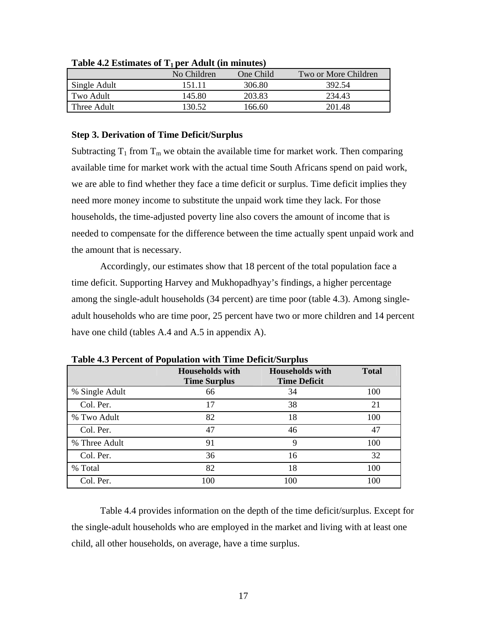| No Children | One Child | Two or More Children |
|-------------|-----------|----------------------|
| 151 11      | 306.80    | 392.54               |
| 145.80      | 203.83    | 234.43               |
| 130.52      | 166.60    | 201.48               |
|             |           |                      |

**Table 4.2 Estimates of T<sub>1</sub> per Adult (in minutes)** 

#### **Step 3. Derivation of Time Deficit/Surplus**

Subtracting  $T_1$  from  $T_m$  we obtain the available time for market work. Then comparing available time for market work with the actual time South Africans spend on paid work, we are able to find whether they face a time deficit or surplus. Time deficit implies they need more money income to substitute the unpaid work time they lack. For those households, the time-adjusted poverty line also covers the amount of income that is needed to compensate for the difference between the time actually spent unpaid work and the amount that is necessary.

Accordingly, our estimates show that 18 percent of the total population face a time deficit. Supporting Harvey and Mukhopadhyay's findings, a higher percentage among the single-adult households (34 percent) are time poor (table 4.3). Among singleadult households who are time poor, 25 percent have two or more children and 14 percent have one child (tables A.4 and A.5 in appendix A).

|                | <b>Households with</b><br><b>Time Surplus</b> | <b>Households</b> with<br><b>Time Deficit</b> | <b>Total</b> |
|----------------|-----------------------------------------------|-----------------------------------------------|--------------|
| % Single Adult | 66                                            | 34                                            | 100          |
| Col. Per.      | 17                                            | 38                                            | 21           |
| % Two Adult    | 82                                            | 18                                            | 100          |
| Col. Per.      | 47                                            | 46                                            | 47           |
| % Three Adult  | 91                                            | 9                                             | 100          |
| Col. Per.      | 36                                            | 16                                            | 32           |
| % Total        | 82                                            | 18                                            | 100          |
| Col. Per.      | 100                                           | 100                                           | 100          |

**Table 4.3 Percent of Population with Time Deficit/Surplus** 

Table 4.4 provides information on the depth of the time deficit/surplus. Except for the single-adult households who are employed in the market and living with at least one child, all other households, on average, have a time surplus.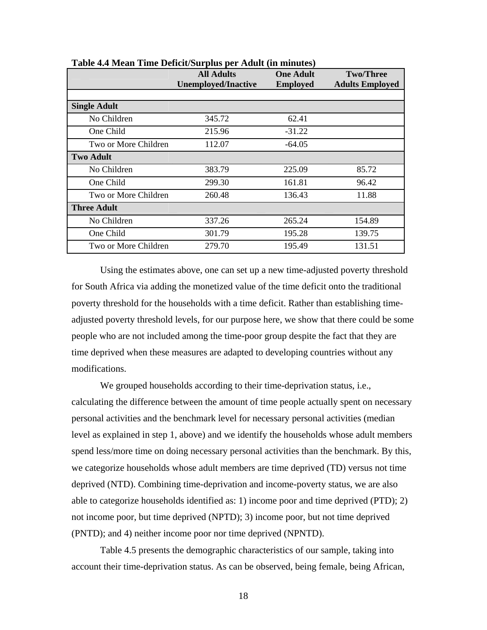|                      | <b>All Adults</b>          | <b>One Adult</b> | <b>Two/Three</b>       |
|----------------------|----------------------------|------------------|------------------------|
|                      | <b>Unemployed/Inactive</b> | <b>Employed</b>  | <b>Adults Employed</b> |
| <b>Single Adult</b>  |                            |                  |                        |
| No Children          | 345.72                     | 62.41            |                        |
| One Child            | 215.96                     | $-31.22$         |                        |
| Two or More Children | 112.07                     | $-64.05$         |                        |
| <b>Two Adult</b>     |                            |                  |                        |
| No Children          | 383.79                     | 225.09           | 85.72                  |
| One Child            | 299.30                     | 161.81           | 96.42                  |
| Two or More Children | 260.48                     | 136.43           | 11.88                  |
| <b>Three Adult</b>   |                            |                  |                        |
| No Children          | 337.26                     | 265.24           | 154.89                 |
| One Child            | 301.79                     | 195.28           | 139.75                 |
| Two or More Children | 279.70                     | 195.49           | 131.51                 |

**Table 4.4 Mean Time Deficit/Surplus per Adult (in minutes)** 

Using the estimates above, one can set up a new time-adjusted poverty threshold for South Africa via adding the monetized value of the time deficit onto the traditional poverty threshold for the households with a time deficit. Rather than establishing timeadjusted poverty threshold levels, for our purpose here, we show that there could be some people who are not included among the time-poor group despite the fact that they are time deprived when these measures are adapted to developing countries without any modifications.

We grouped households according to their time-deprivation status, i.e., calculating the difference between the amount of time people actually spent on necessary personal activities and the benchmark level for necessary personal activities (median level as explained in step 1, above) and we identify the households whose adult members spend less/more time on doing necessary personal activities than the benchmark. By this, we categorize households whose adult members are time deprived (TD) versus not time deprived (NTD). Combining time-deprivation and income-poverty status, we are also able to categorize households identified as: 1) income poor and time deprived (PTD); 2) not income poor, but time deprived (NPTD); 3) income poor, but not time deprived (PNTD); and 4) neither income poor nor time deprived (NPNTD).

Table 4.5 presents the demographic characteristics of our sample, taking into account their time-deprivation status. As can be observed, being female, being African,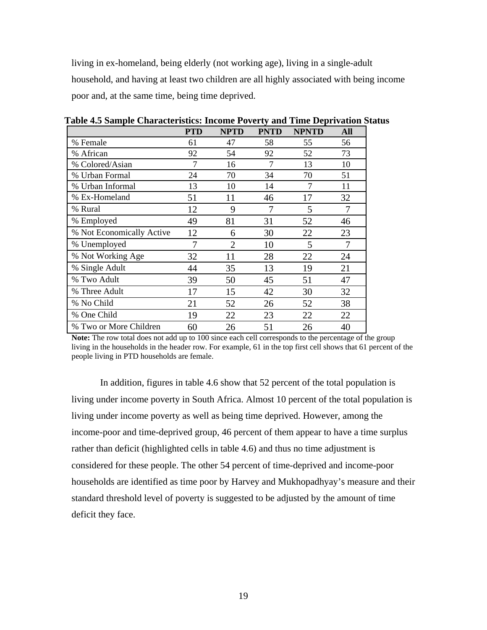living in ex-homeland, being elderly (not working age), living in a single-adult household, and having at least two children are all highly associated with being income poor and, at the same time, being time deprived.

|                           | <b>PTD</b> | <b>NPTD</b>    | <b>PNTD</b> | <b>NPNTD</b> | <b>All</b>     |
|---------------------------|------------|----------------|-------------|--------------|----------------|
| % Female                  | 61         | 47             | 58          | 55           | 56             |
| % African                 | 92         | 54             | 92          | 52           | 73             |
| % Colored/Asian           |            | 16             |             | 13           | 10             |
| % Urban Formal            | 24         | 70             | 34          | 70           | 51             |
| % Urban Informal          | 13         | 10             | 14          | 7            | 11             |
| % Ex-Homeland             | 51         | 11             | 46          | 17           | 32             |
| % Rural                   | 12         | 9              | 7           | 5            | $\overline{7}$ |
| % Employed                | 49         | 81             | 31          | 52           | 46             |
| % Not Economically Active | 12         | 6              | 30          | 22           | 23             |
| % Unemployed              | 7          | $\overline{2}$ | 10          | 5            | 7              |
| % Not Working Age         | 32         | 11             | 28          | 22           | 24             |
| % Single Adult            | 44         | 35             | 13          | 19           | 21             |
| % Two Adult               | 39         | 50             | 45          | 51           | 47             |
| % Three Adult             | 17         | 15             | 42          | 30           | 32             |
| % No Child                | 21         | 52             | 26          | 52           | 38             |
| % One Child               | 19         | 22             | 23          | 22           | 22             |
| % Two or More Children    | 60         | 26             | 51          | 26           | 40             |

**Table 4.5 Sample Characteristics: Income Poverty and Time Deprivation Status** 

**Note:** The row total does not add up to 100 since each cell corresponds to the percentage of the group living in the households in the header row. For example, 61 in the top first cell shows that 61 percent of the people living in PTD households are female.

In addition, figures in table 4.6 show that 52 percent of the total population is living under income poverty in South Africa. Almost 10 percent of the total population is living under income poverty as well as being time deprived. However, among the income-poor and time-deprived group, 46 percent of them appear to have a time surplus rather than deficit (highlighted cells in table 4.6) and thus no time adjustment is considered for these people. The other 54 percent of time-deprived and income-poor households are identified as time poor by Harvey and Mukhopadhyay's measure and their standard threshold level of poverty is suggested to be adjusted by the amount of time deficit they face.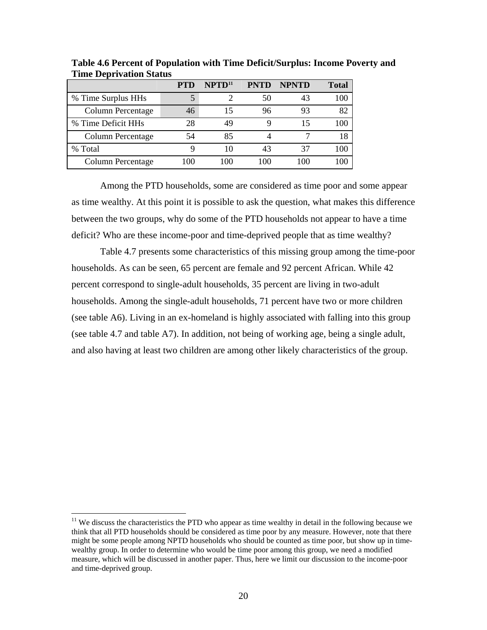|                    | PTD | NPTD <sup>11</sup> | <b>PNTD</b> | <b>NPNTD</b> | <b>Total</b> |
|--------------------|-----|--------------------|-------------|--------------|--------------|
| % Time Surplus HHs |     |                    | 50          | 43           | 100          |
| Column Percentage  | 46  | 15                 | 96          | 93           | 82           |
| % Time Deficit HHs | 28  | 49                 |             | 15           | ۱00          |
| Column Percentage  | 54  | 85                 |             |              |              |
| % Total            |     | 10                 | 43          | 37           | 100          |
| Column Percentage  | (1) | $\Omega$           | $\Omega$    |              |              |

**Table 4.6 Percent of Population with Time Deficit/Surplus: Income Poverty and Time Deprivation Status** 

 Among the PTD households, some are considered as time poor and some appear as time wealthy. At this point it is possible to ask the question, what makes this difference between the two groups, why do some of the PTD households not appear to have a time deficit? Who are these income-poor and time-deprived people that as time wealthy?

Table 4.7 presents some characteristics of this missing group among the time-poor households. As can be seen, 65 percent are female and 92 percent African. While 42 percent correspond to single-adult households, 35 percent are living in two-adult households. Among the single-adult households, 71 percent have two or more children (see table A6). Living in an ex-homeland is highly associated with falling into this group (see table 4.7 and table A7). In addition, not being of working age, being a single adult, and also having at least two children are among other likely characteristics of the group.

 $\overline{a}$ 

 $11$  We discuss the characteristics the PTD who appear as time wealthy in detail in the following because we think that all PTD households should be considered as time poor by any measure. However, note that there might be some people among NPTD households who should be counted as time poor, but show up in timewealthy group. In order to determine who would be time poor among this group, we need a modified measure, which will be discussed in another paper. Thus, here we limit our discussion to the income-poor and time-deprived group.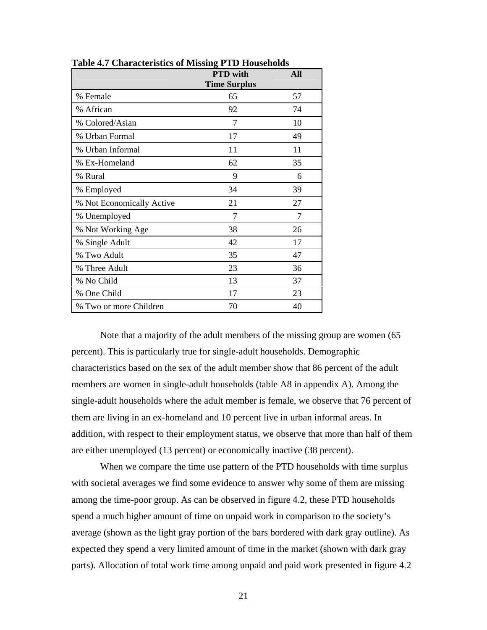|                           | <b>PTD</b> with     | All |
|---------------------------|---------------------|-----|
|                           | <b>Time Surplus</b> |     |
| % Female                  | 65                  | 57  |
| % African                 | 92                  | 74  |
| % Colored/Asian           | $\overline{7}$      | 10  |
| % Urban Formal            | 17                  | 49  |
| % Urban Informal          | 11                  | 11  |
| % Ex-Homeland             | 62                  | 35  |
| % Rural                   | 9                   | 6   |
| % Employed                | 34                  | 39  |
| % Not Economically Active | 21                  | 27  |
| % Unemployed              | 7                   | 7   |
| % Not Working Age         | 38                  | 26  |
| % Single Adult            | 42                  | 17  |
| % Two Adult               | 35                  | 47  |
| % Three Adult             | 23                  | 36  |
| % No Child                | 13                  | 37  |
| % One Child               | 17                  | 23  |
| % Two or more Children    | 70                  | 40  |

**Table 4.7 Characteristics of Missing PTD Households**

Note that a majority of the adult members of the missing group are women (65 percent). This is particularly true for single-adult households. Demographic characteristics based on the sex of the adult member show that 86 percent of the adult members are women in single-adult households (table A8 in appendix A). Among the single-adult households where the adult member is female, we observe that 76 percent of them are living in an ex-homeland and 10 percent live in urban informal areas. In addition, with respect to their employment status, we observe that more than half of them are either unemployed (13 percent) or economically inactive (38 percent).

When we compare the time use pattern of the PTD households with time surplus with societal averages we find some evidence to answer why some of them are missing among the time-poor group. As can be observed in figure 4.2, these PTD households spend a much higher amount of time on unpaid work in comparison to the society's average (shown as the light gray portion of the bars bordered with dark gray outline). As expected they spend a very limited amount of time in the market (shown with dark gray parts). Allocation of total work time among unpaid and paid work presented in figure 4.2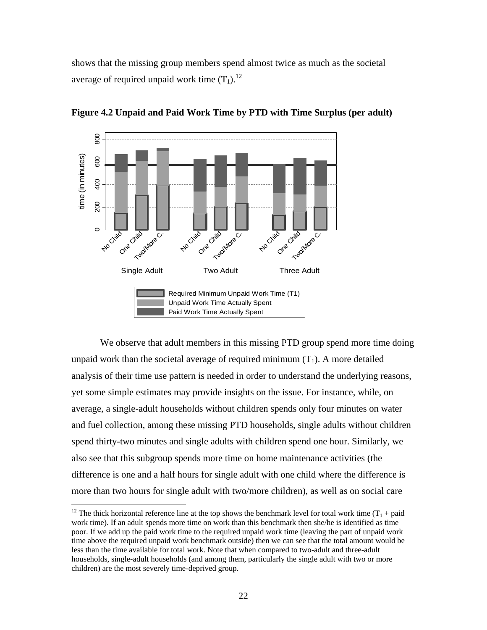shows that the missing group members spend almost twice as much as the societal average of required unpaid work time  $(T_1)$ .<sup>12</sup>



**Figure 4.2 Unpaid and Paid Work Time by PTD with Time Surplus (per adult)** 

We observe that adult members in this missing PTD group spend more time doing unpaid work than the societal average of required minimum  $(T_1)$ . A more detailed analysis of their time use pattern is needed in order to understand the underlying reasons, yet some simple estimates may provide insights on the issue. For instance, while, on average, a single-adult households without children spends only four minutes on water and fuel collection, among these missing PTD households, single adults without children spend thirty-two minutes and single adults with children spend one hour. Similarly, we also see that this subgroup spends more time on home maintenance activities (the difference is one and a half hours for single adult with one child where the difference is more than two hours for single adult with two/more children), as well as on social care

<u>.</u>

<sup>&</sup>lt;sup>12</sup> The thick horizontal reference line at the top shows the benchmark level for total work time  $(T_1 + paid$ work time). If an adult spends more time on work than this benchmark then she/he is identified as time poor. If we add up the paid work time to the required unpaid work time (leaving the part of unpaid work time above the required unpaid work benchmark outside) then we can see that the total amount would be less than the time available for total work. Note that when compared to two-adult and three-adult households, single-adult households (and among them, particularly the single adult with two or more children) are the most severely time-deprived group.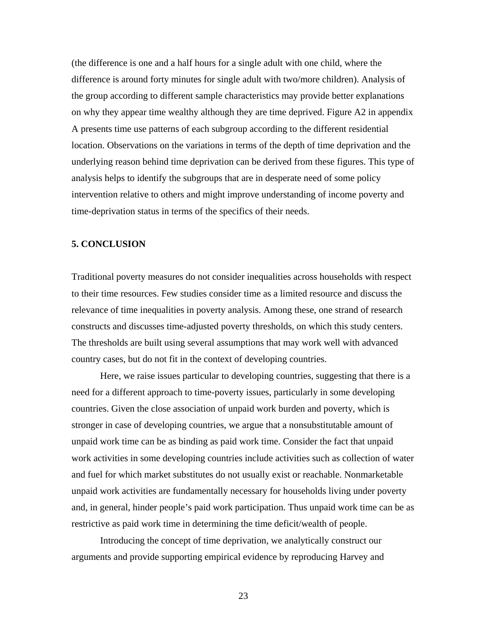(the difference is one and a half hours for a single adult with one child, where the difference is around forty minutes for single adult with two/more children). Analysis of the group according to different sample characteristics may provide better explanations on why they appear time wealthy although they are time deprived. Figure A2 in appendix A presents time use patterns of each subgroup according to the different residential location. Observations on the variations in terms of the depth of time deprivation and the underlying reason behind time deprivation can be derived from these figures. This type of analysis helps to identify the subgroups that are in desperate need of some policy intervention relative to others and might improve understanding of income poverty and time-deprivation status in terms of the specifics of their needs.

#### **5. CONCLUSION**

Traditional poverty measures do not consider inequalities across households with respect to their time resources. Few studies consider time as a limited resource and discuss the relevance of time inequalities in poverty analysis. Among these, one strand of research constructs and discusses time-adjusted poverty thresholds, on which this study centers. The thresholds are built using several assumptions that may work well with advanced country cases, but do not fit in the context of developing countries.

Here, we raise issues particular to developing countries, suggesting that there is a need for a different approach to time-poverty issues, particularly in some developing countries. Given the close association of unpaid work burden and poverty, which is stronger in case of developing countries, we argue that a nonsubstitutable amount of unpaid work time can be as binding as paid work time. Consider the fact that unpaid work activities in some developing countries include activities such as collection of water and fuel for which market substitutes do not usually exist or reachable. Nonmarketable unpaid work activities are fundamentally necessary for households living under poverty and, in general, hinder people's paid work participation. Thus unpaid work time can be as restrictive as paid work time in determining the time deficit/wealth of people.

Introducing the concept of time deprivation, we analytically construct our arguments and provide supporting empirical evidence by reproducing Harvey and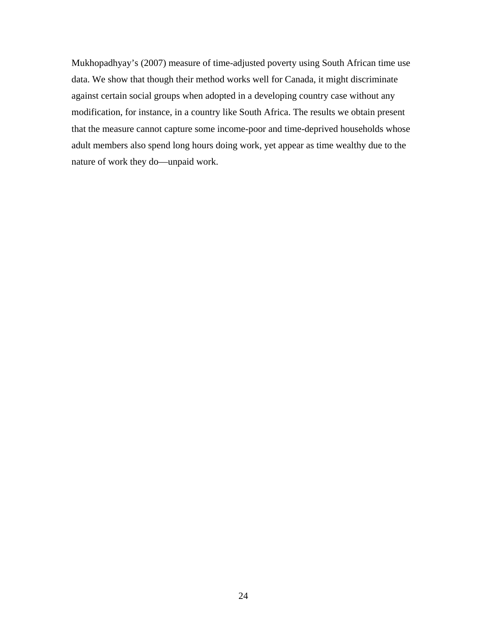Mukhopadhyay's (2007) measure of time-adjusted poverty using South African time use data. We show that though their method works well for Canada, it might discriminate against certain social groups when adopted in a developing country case without any modification, for instance, in a country like South Africa. The results we obtain present that the measure cannot capture some income-poor and time-deprived households whose adult members also spend long hours doing work, yet appear as time wealthy due to the nature of work they do—unpaid work.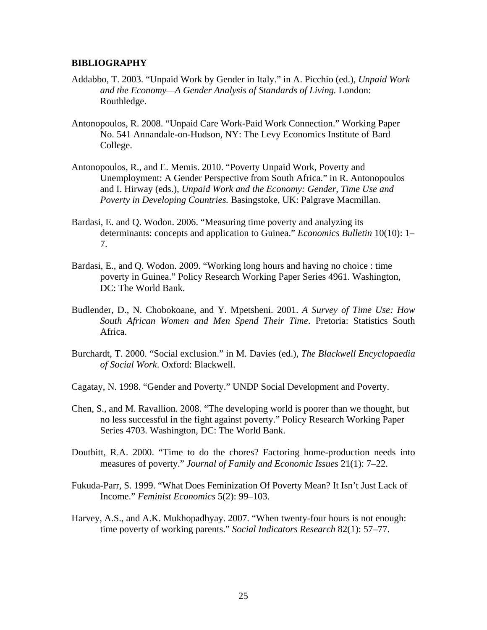#### **BIBLIOGRAPHY**

- Addabbo, T. 2003. "Unpaid Work by Gender in Italy." in A. Picchio (ed.), *Unpaid Work and the Economy—A Gender Analysis of Standards of Living.* London: Routhledge.
- Antonopoulos, R. 2008. "Unpaid Care Work-Paid Work Connection." Working Paper No. 541 Annandale-on-Hudson, NY: The Levy Economics Institute of Bard College.
- Antonopoulos, R., and E. Memis. 2010. "Poverty Unpaid Work, Poverty and Unemployment: A Gender Perspective from South Africa." in R. Antonopoulos and I. Hirway (eds.), *Unpaid Work and the Economy: Gender, Time Use and Poverty in Developing Countries.* Basingstoke, UK: Palgrave Macmillan.
- Bardasi, E. and Q. Wodon. 2006. "Measuring time poverty and analyzing its determinants: concepts and application to Guinea." *Economics Bulletin* 10(10): 1– 7.
- Bardasi, E., and Q. Wodon. 2009. "Working long hours and having no choice : time poverty in Guinea." Policy Research Working Paper Series 4961. Washington, DC: The World Bank.
- Budlender, D., N. Chobokoane, and Y. Mpetsheni. 2001. *A Survey of Time Use: How South African Women and Men Spend Their Time*. Pretoria: Statistics South Africa.
- Burchardt, T. 2000. "Social exclusion." in M. Davies (ed.), *The Blackwell Encyclopaedia of Social Work*. Oxford: Blackwell.
- Cagatay, N. 1998. "Gender and Poverty." UNDP Social Development and Poverty.
- Chen, S., and M. Ravallion. 2008. "The developing world is poorer than we thought, but no less successful in the fight against poverty." Policy Research Working Paper Series 4703. Washington, DC: The World Bank.
- Douthitt, R.A. 2000. "Time to do the chores? Factoring home-production needs into measures of poverty." *Journal of Family and Economic Issues* 21(1): 7–22.
- Fukuda-Parr, S. 1999. "What Does Feminization Of Poverty Mean? It Isn't Just Lack of Income." *Feminist Economics* 5(2): 99–103.
- Harvey, A.S., and A.K. Mukhopadhyay. 2007. "When twenty-four hours is not enough: time poverty of working parents." *Social Indicators Research* 82(1): 57–77.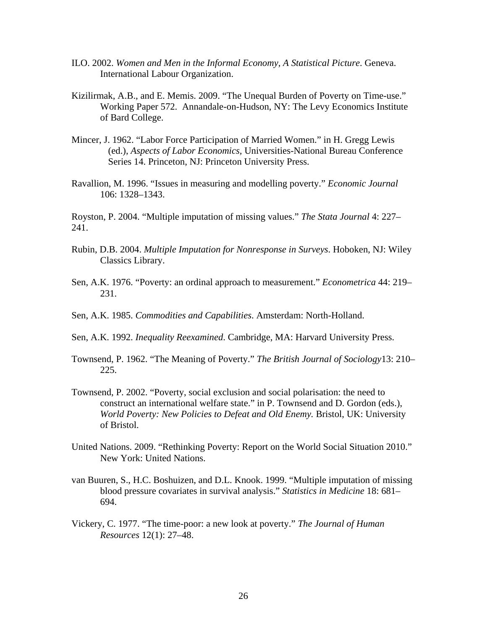- ILO. 2002. *Women and Men in the Informal Economy, A Statistical Picture*. Geneva. International Labour Organization.
- Kizilirmak, A.B., and E. Memis. 2009. "The Unequal Burden of Poverty on Time-use." Working Paper 572. Annandale-on-Hudson, NY: The Levy Economics Institute of Bard College.
- Mincer, J. 1962. "Labor Force Participation of Married Women." in H. Gregg Lewis (ed.), *Aspects of Labor Economics,* Universities-National Bureau Conference Series 14. Princeton, NJ: Princeton University Press.
- Ravallion, M. 1996. "Issues in measuring and modelling poverty." *Economic Journal* 106: 1328–1343.

Royston, P. 2004. "Multiple imputation of missing values." *The Stata Journal* 4: 227– 241.

- Rubin, D.B. 2004. *Multiple Imputation for Nonresponse in Surveys*. Hoboken, NJ: Wiley Classics Library.
- Sen, A.K. 1976. "Poverty: an ordinal approach to measurement." *Econometrica* 44: 219– 231.
- Sen, A.K. 1985. *Commodities and Capabilities*. Amsterdam: North-Holland.
- Sen, A.K. 1992. *Inequality Reexamined*. Cambridge, MA: Harvard University Press.
- Townsend, P. 1962. "The Meaning of Poverty." *The British Journal of Sociology*13: 210– 225.
- Townsend, P. 2002. "Poverty, social exclusion and social polarisation: the need to construct an international welfare state." in P. Townsend and D. Gordon (eds.), *World Poverty: New Policies to Defeat and Old Enemy.* Bristol, UK: University of Bristol.
- United Nations. 2009. "Rethinking Poverty: Report on the World Social Situation 2010." New York: United Nations.
- van Buuren, S., H.C. Boshuizen, and D.L. Knook. 1999. "Multiple imputation of missing blood pressure covariates in survival analysis." *Statistics in Medicine* 18: 681– 694.
- Vickery, C. 1977. "The time-poor: a new look at poverty." *The Journal of Human Resources* 12(1): 27–48.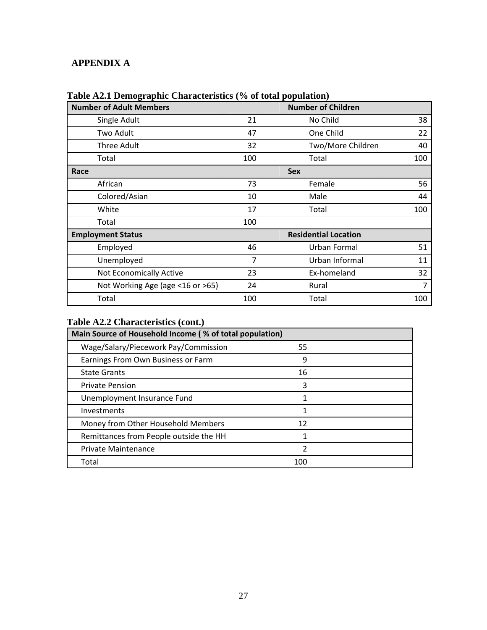# **APPENDIX A**

| o<br><b>Number of Adult Members</b> |     | <b>Number of Children</b>   |     |
|-------------------------------------|-----|-----------------------------|-----|
| Single Adult                        | 21  | No Child                    | 38  |
| Two Adult                           | 47  | One Child                   | 22  |
| <b>Three Adult</b>                  | 32  | Two/More Children           | 40  |
| Total                               | 100 | Total                       | 100 |
| Race                                |     | <b>Sex</b>                  |     |
| African                             | 73  | Female                      | 56  |
| Colored/Asian                       | 10  | Male                        | 44  |
| White                               | 17  | Total                       | 100 |
| Total                               | 100 |                             |     |
| <b>Employment Status</b>            |     | <b>Residential Location</b> |     |
| Employed                            | 46  | Urban Formal                | 51  |
| Unemployed                          | 7   | Urban Informal              | 11  |
| Not Economically Active             | 23  | Ex-homeland                 | 32  |
| Not Working Age (age <16 or >65)    | 24  | Rural                       | 7   |
| Total                               | 100 | Total                       | 100 |

# **Table A2.1 Demographic Characteristics (% of total population)**

# **Table A2.2 Characteristics (cont.)**

| Main Source of Household Income (% of total population) |     |  |  |  |
|---------------------------------------------------------|-----|--|--|--|
| Wage/Salary/Piecework Pay/Commission                    | 55  |  |  |  |
| Earnings From Own Business or Farm                      | 9   |  |  |  |
| <b>State Grants</b>                                     | 16  |  |  |  |
| <b>Private Pension</b>                                  | 3   |  |  |  |
| Unemployment Insurance Fund                             |     |  |  |  |
| Investments                                             |     |  |  |  |
| Money from Other Household Members                      | 12  |  |  |  |
| Remittances from People outside the HH                  |     |  |  |  |
| Private Maintenance                                     | 2   |  |  |  |
| Total                                                   | 100 |  |  |  |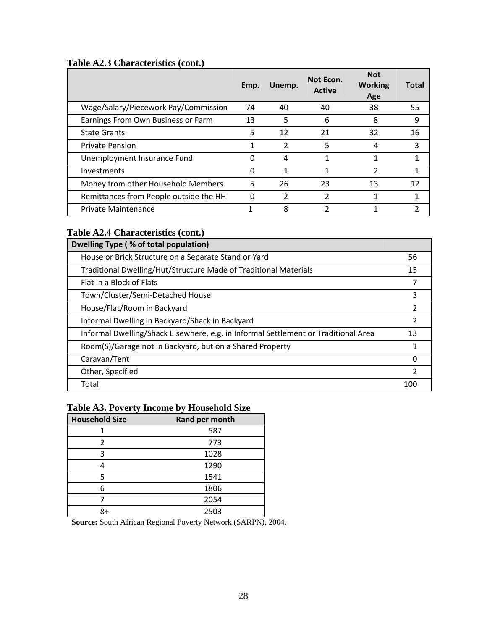# **Table A2.3 Characteristics (cont.)**

|                                        | Emp.     | Unemp.         | Not Econ.<br><b>Active</b> | <b>Not</b><br><b>Working</b><br>Age | Total |
|----------------------------------------|----------|----------------|----------------------------|-------------------------------------|-------|
| Wage/Salary/Piecework Pay/Commission   | 74       | 40             | 40                         | 38                                  | 55    |
| Earnings From Own Business or Farm     | 13       | 5              | 6                          | 8                                   | 9     |
| <b>State Grants</b>                    | 5        | 12             | 21                         | 32                                  | 16    |
| <b>Private Pension</b>                 | 1        | 2              | 5                          | 4                                   | 3     |
| Unemployment Insurance Fund            | 0        | 4              | 1                          | 1                                   |       |
| Investments                            | 0        |                |                            | 2                                   | 1     |
| Money from other Household Members     | 5        | 26             | 23                         | 13                                  | 12    |
| Remittances from People outside the HH | $\Omega$ | $\overline{2}$ | $\overline{2}$             | 1                                   | 1     |
| Private Maintenance                    |          | 8              | າ                          |                                     |       |

### **Table A2.4 Characteristics (cont.)**

| <b>Dwelling Type (% of total population)</b>                                       |     |
|------------------------------------------------------------------------------------|-----|
| House or Brick Structure on a Separate Stand or Yard                               | 56  |
| Traditional Dwelling/Hut/Structure Made of Traditional Materials                   | 15  |
| Flat in a Block of Flats                                                           | 7   |
| Town/Cluster/Semi-Detached House                                                   | 3   |
| House/Flat/Room in Backyard                                                        | 2   |
| Informal Dwelling in Backyard/Shack in Backyard                                    | 2   |
| Informal Dwelling/Shack Elsewhere, e.g. in Informal Settlement or Traditional Area | 13  |
| Room(S)/Garage not in Backyard, but on a Shared Property                           |     |
| Caravan/Tent                                                                       | 0   |
| Other, Specified                                                                   | 2   |
| Total                                                                              | 100 |

### **Table A3. Poverty Income by Household Size**

| <b>Household Size</b> | Rand per month |
|-----------------------|----------------|
|                       | 587            |
| 2                     | 773            |
| ς                     | 1028           |
|                       | 1290           |
|                       | 1541           |
| հ                     | 1806           |
|                       | 2054           |
|                       | 2503           |

**Source:** South African Regional Poverty Network (SARPN), 2004.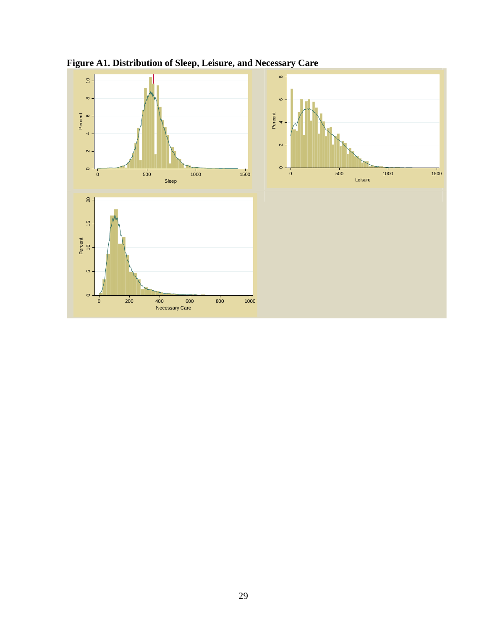

**Figure A1. Distribution of Sleep, Leisure, and Necessary Care**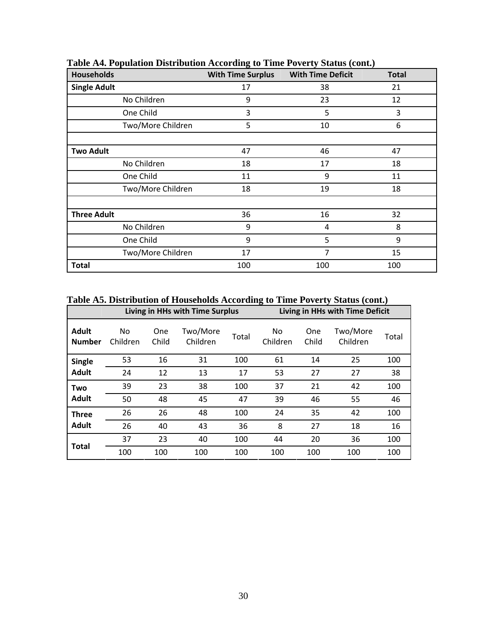| <b>Households</b>   |                   | <b>With Time Surplus</b> | <b>With Time Deficit</b> | <b>Total</b> |
|---------------------|-------------------|--------------------------|--------------------------|--------------|
| <b>Single Adult</b> |                   | 17                       | 38                       | 21           |
|                     | No Children       | 9                        | 23                       | 12           |
|                     | One Child         | 3                        | 5                        | 3            |
|                     | Two/More Children | 5                        | 10                       | 6            |
|                     |                   |                          |                          |              |
| <b>Two Adult</b>    |                   | 47                       | 46                       | 47           |
|                     | No Children       | 18                       | 17                       | 18           |
|                     | One Child         | 11                       | 9                        | 11           |
|                     | Two/More Children | 18                       | 19                       | 18           |
|                     |                   |                          |                          |              |
| <b>Three Adult</b>  |                   | 36                       | 16                       | 32           |
|                     | No Children       | 9                        | $\overline{4}$           | 8            |
|                     | One Child         | 9                        | 5                        | 9            |
|                     | Two/More Children | 17                       | $\overline{7}$           | 15           |
| <b>Total</b>        |                   | 100                      | 100                      | 100          |

 **Table A4. Population Distribution According to Time Poverty Status (cont.)** 

 **Table A5. Distribution of Households According to Time Poverty Status (cont.)** 

|                               | Living in HHs with Time Surplus |              |                      | Living in HHs with Time Deficit |                |              |                      |       |
|-------------------------------|---------------------------------|--------------|----------------------|---------------------------------|----------------|--------------|----------------------|-------|
| <b>Adult</b><br><b>Number</b> | N <sub>o</sub><br>Children      | One<br>Child | Two/More<br>Children | Total                           | No<br>Children | One<br>Child | Two/More<br>Children | Total |
| Single                        | 53                              | 16           | 31                   | 100                             | 61             | 14           | 25                   | 100   |
| <b>Adult</b>                  | 24                              | 12           | 13                   | 17                              | 53             | 27           | 27                   | 38    |
| Two                           | 39                              | 23           | 38                   | 100                             | 37             | 21           | 42                   | 100   |
| <b>Adult</b>                  | 50                              | 48           | 45                   | 47                              | 39             | 46           | 55                   | 46    |
| <b>Three</b>                  | 26                              | 26           | 48                   | 100                             | 24             | 35           | 42                   | 100   |
| <b>Adult</b>                  | 26                              | 40           | 43                   | 36                              | 8              | 27           | 18                   | 16    |
| Total                         | 37                              | 23           | 40                   | 100                             | 44             | 20           | 36                   | 100   |
|                               | 100                             | 100          | 100                  | 100                             | 100            | 100          | 100                  | 100   |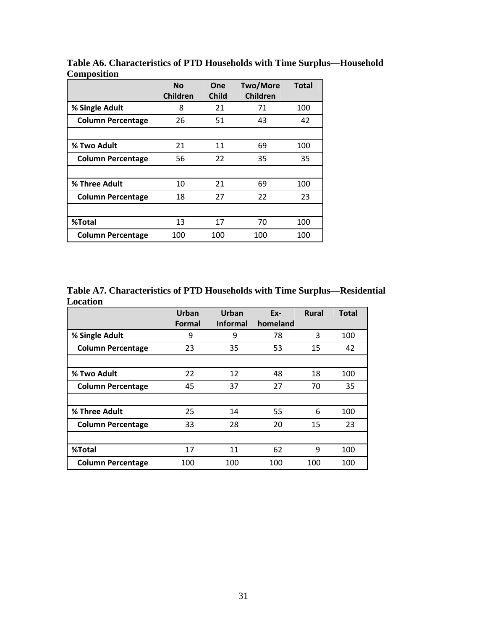|                          | <b>No</b><br><b>Children</b> | One<br><b>Child</b> | <b>Two/More</b><br><b>Children</b> | <b>Total</b> |
|--------------------------|------------------------------|---------------------|------------------------------------|--------------|
| % Single Adult           | 8                            | 21                  | 71                                 | 100          |
| <b>Column Percentage</b> | 26                           | 51                  | 43                                 | 42           |
|                          |                              |                     |                                    |              |
| % Two Adult              | 21                           | 11                  | 69                                 | 100          |
| <b>Column Percentage</b> | 56                           | 22                  | 35                                 | 35           |
|                          |                              |                     |                                    |              |
| % Three Adult            | 10                           | 21                  | 69                                 | 100          |
| <b>Column Percentage</b> | 18                           | 27                  | 22                                 | 23           |
|                          |                              |                     |                                    |              |
| %Total                   | 13                           | 17                  | 70                                 | 100          |
| <b>Column Percentage</b> | 100                          | 100                 | 100                                | 100          |

 **Table A6. Characteristics of PTD Households with Time Surplus—Household Composition** 

 **Table A7. Characteristics of PTD Households with Time Surplus—Residential Location** 

|                          | Urban  | Urban           | Ex-      | <b>Rural</b> | <b>Total</b> |
|--------------------------|--------|-----------------|----------|--------------|--------------|
|                          | Formal | <b>Informal</b> | homeland |              |              |
| % Single Adult           | 9      | 9               | 78       | 3            | 100          |
| <b>Column Percentage</b> | 23     | 35              | 53       | 15           | 42           |
|                          |        |                 |          |              |              |
| % Two Adult              | 22     | 12              | 48       | 18           | 100          |
| <b>Column Percentage</b> | 45     | 37              | 27       | 70           | 35           |
|                          |        |                 |          |              |              |
| % Three Adult            | 25     | 14              | 55       | 6            | 100          |
| <b>Column Percentage</b> | 33     | 28              | 20       | 15           | 23           |
|                          |        |                 |          |              |              |
| %Total                   | 17     | 11              | 62       | 9            | 100          |
| <b>Column Percentage</b> | 100    | 100             | 100      | 100          | 100          |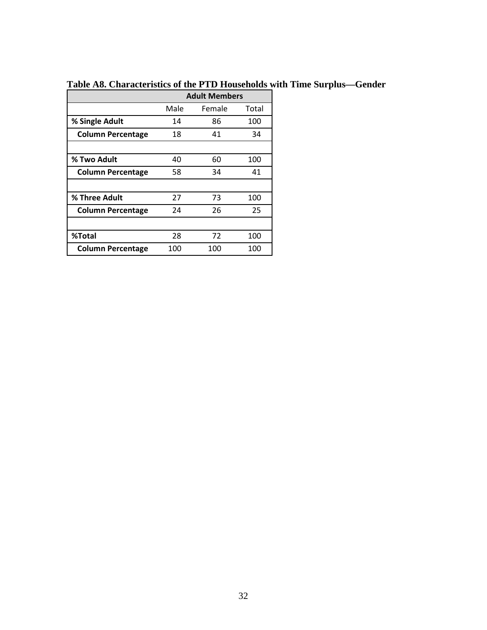|                          |      | <b>Adult Members</b> |       |
|--------------------------|------|----------------------|-------|
|                          | Male | Female               | Total |
| % Single Adult           | 14   | 86                   | 100   |
| <b>Column Percentage</b> | 18   | 41                   | 34    |
|                          |      |                      |       |
| % Two Adult              | 40   | 60                   | 100   |
| <b>Column Percentage</b> | 58   | 34                   | 41    |
|                          |      |                      |       |
| % Three Adult            | 27   | 73                   | 100   |
| <b>Column Percentage</b> | 24   | 26                   | 25    |
|                          |      |                      |       |
| %Total                   | 28   | 72                   | 100   |
| <b>Column Percentage</b> | 100  | 100                  | 100   |

 **Table A8. Characteristics of the PTD Households with Time Surplus—Gender**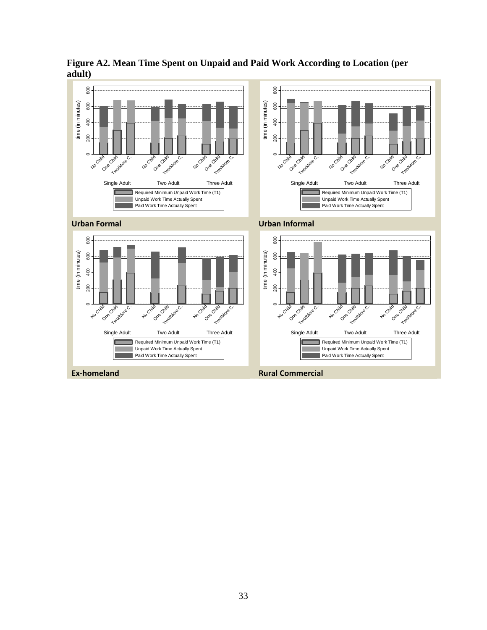

**Figure A2. Mean Time Spent on Unpaid and Paid Work According to Location (per adult)**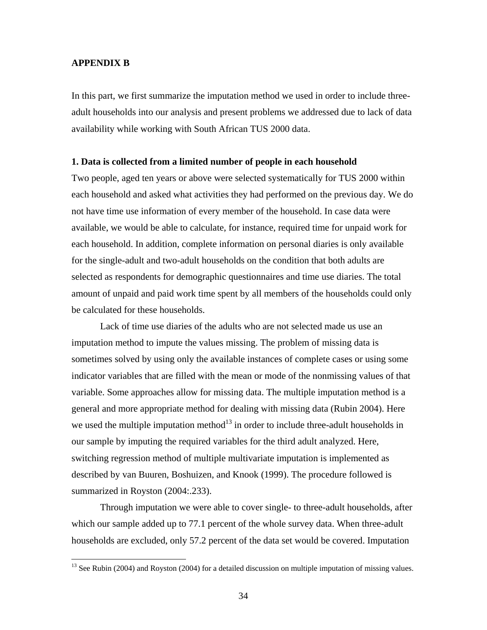#### **APPENDIX B**

 $\overline{a}$ 

In this part, we first summarize the imputation method we used in order to include threeadult households into our analysis and present problems we addressed due to lack of data availability while working with South African TUS 2000 data.

#### **1. Data is collected from a limited number of people in each household**

Two people, aged ten years or above were selected systematically for TUS 2000 within each household and asked what activities they had performed on the previous day. We do not have time use information of every member of the household. In case data were available, we would be able to calculate, for instance, required time for unpaid work for each household. In addition, complete information on personal diaries is only available for the single-adult and two-adult households on the condition that both adults are selected as respondents for demographic questionnaires and time use diaries. The total amount of unpaid and paid work time spent by all members of the households could only be calculated for these households.

Lack of time use diaries of the adults who are not selected made us use an imputation method to impute the values missing. The problem of missing data is sometimes solved by using only the available instances of complete cases or using some indicator variables that are filled with the mean or mode of the nonmissing values of that variable. Some approaches allow for missing data. The multiple imputation method is a general and more appropriate method for dealing with missing data (Rubin 2004). Here we used the multiple imputation method $13$  in order to include three-adult households in our sample by imputing the required variables for the third adult analyzed. Here, switching regression method of multiple multivariate imputation is implemented as described by van Buuren, Boshuizen, and Knook (1999). The procedure followed is summarized in Royston (2004:.233).

Through imputation we were able to cover single- to three-adult households, after which our sample added up to 77.1 percent of the whole survey data. When three-adult households are excluded, only 57.2 percent of the data set would be covered. Imputation

 $13$  See Rubin (2004) and Royston (2004) for a detailed discussion on multiple imputation of missing values.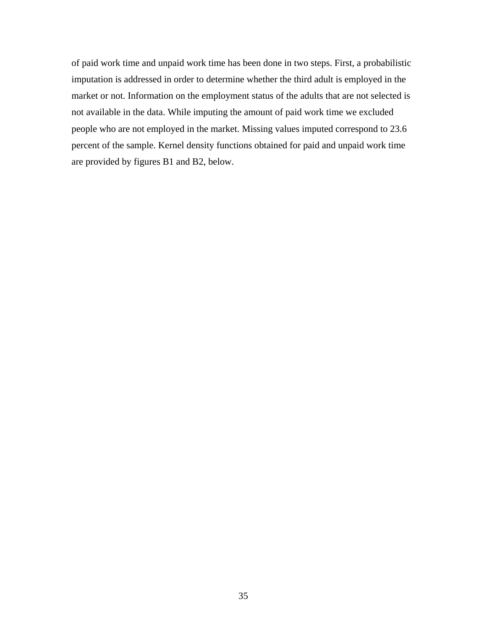of paid work time and unpaid work time has been done in two steps. First, a probabilistic imputation is addressed in order to determine whether the third adult is employed in the market or not. Information on the employment status of the adults that are not selected is not available in the data. While imputing the amount of paid work time we excluded people who are not employed in the market. Missing values imputed correspond to 23.6 percent of the sample. Kernel density functions obtained for paid and unpaid work time are provided by figures B1 and B2, below.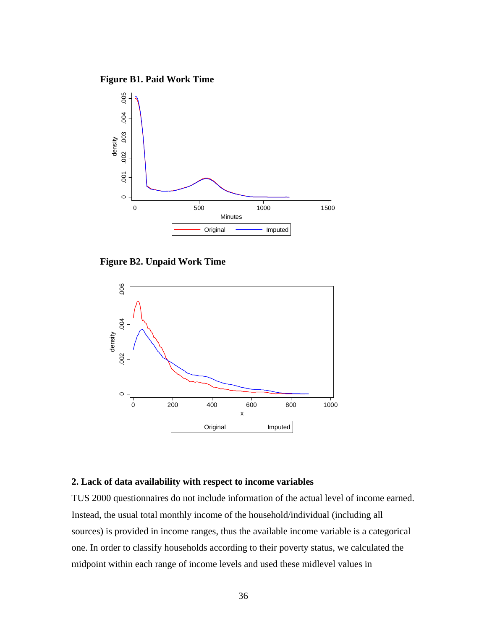**Figure B1. Paid Work Time** 



**Figure B2. Unpaid Work Time** 



#### **2. Lack of data availability with respect to income variables**

TUS 2000 questionnaires do not include information of the actual level of income earned. Instead, the usual total monthly income of the household/individual (including all sources) is provided in income ranges, thus the available income variable is a categorical one. In order to classify households according to their poverty status, we calculated the midpoint within each range of income levels and used these midlevel values in